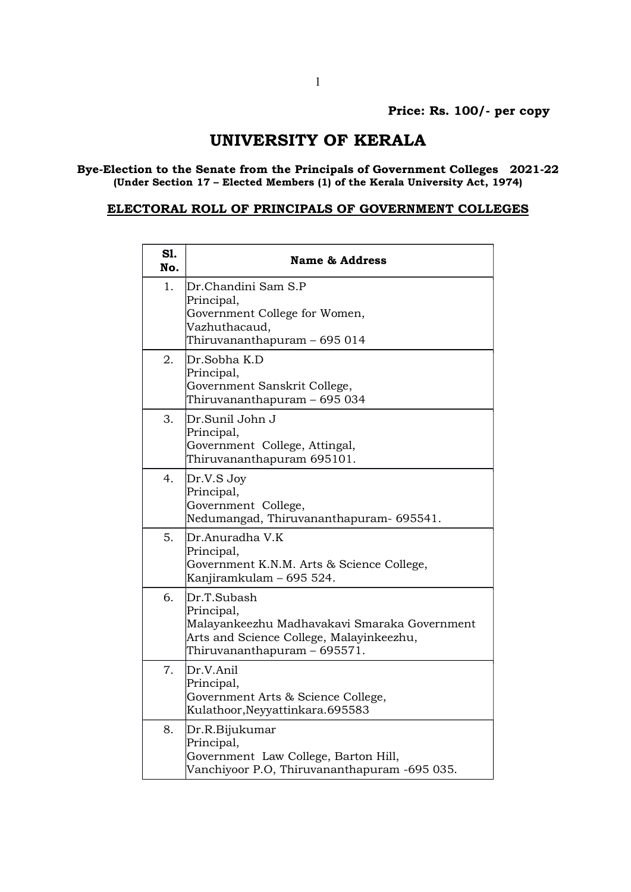## UNIVERSITY OF KERALA

## Bye-Election to the Senate from the Principals of Government Colleges 2021-22 (Under Section 17 – Elected Members (1) of the Kerala University Act, 1974)

## ELECTORAL ROLL OF PRINCIPALS OF GOVERNMENT COLLEGES

| S1.<br>No. | <b>Name &amp; Address</b>                                                                                                                             |
|------------|-------------------------------------------------------------------------------------------------------------------------------------------------------|
| 1.         | Dr.Chandini Sam S.P<br>Principal,<br>Government College for Women,<br>Vazhuthacaud,<br>Thiruvananthapuram – 695 014                                   |
| 2.         | Dr.Sobha K.D<br>Principal,<br>Government Sanskrit College,<br>Thiruvananthapuram - 695 034                                                            |
| 3.         | Dr.Sunil John J<br>Principal,<br>Government College, Attingal,<br>Thiruvananthapuram 695101.                                                          |
| 4.         | Dr.V.S Joy<br>Principal,<br>Government College,<br>Nedumangad, Thiruvananthapuram- 695541.                                                            |
| 5.         | Dr.Anuradha V.K<br>Principal,<br>Government K.N.M. Arts & Science College,<br>Kanjiramkulam - 695 524.                                                |
| 6.         | Dr.T.Subash<br>Principal,<br>Malayankeezhu Madhavakavi Smaraka Government<br>Arts and Science College, Malayinkeezhu,<br>Thiruvananthapuram - 695571. |
| 7.         | Dr.V.Anil<br>Principal,<br>Government Arts & Science College,<br>Kulathoor, Neyyattinkara. 695583                                                     |
| 8.         | Dr.R.Bijukumar<br>Principal,<br>Government Law College, Barton Hill,<br>Vanchiyoor P.O, Thiruvananthapuram -695 035.                                  |